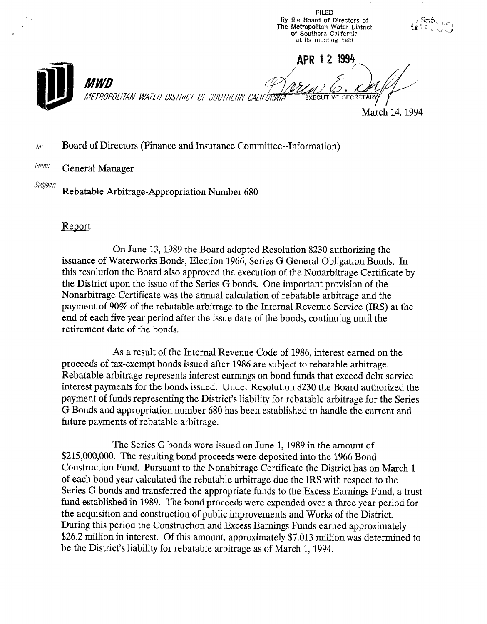8y the Board of Directors of The Metropolitan Water District **of** Southern Califori at its meeting held APR 1 2 1994 MWN METROPOLITAN WATER DISTRICT OF SOUTHERN CALIFORMTA March 14, 1994

FILED

## Board of Directors (Finance and Insurance Committee--Information) To:

## *From:* General Manager

Subject:

Rebatable Arbitrage-Appropriation Number 680

## Report

On June 13, 1989 the Board adopted Resolution 8230 authorizing the issuance of Waterworks Bonds, Election 1966, Series G General Obligation Bonds. In this resolution the Board also approved the execution of the Nonarbitrage Certificate by the District upon the issue of the Series G bonds. One important provision of the Nonarbitrage Certificate was the annual calculation of rebatable arbitrage and the producting continuate was the annual calculation of rebatable arbitrage and the payment of 50% of the revatable at pluge to the internal revenue service (IRS) end of each five year period after the issue date of the bonds, continuing until the retirement date of the bonds.

 $\mathbf{A}$  and  $\mathbf{A}$  result of the Internal Revenue  $\mathbf{A}$ As a result of the internal Nevelue Coue of 1980, interest earlier on proceeds of tax-exempt bonds issued after 1986 are subject to rebatable arbitrage. Rebatable arbitrage represents interest earnings on bond funds that exceed debt service interest payments for the bonds issued. Under Resolution 8230 the Board authorized the payment of funds representing the District's liability for rebatable arbitrage for the Series G Bonds and appropriation number 680 has been established to handle the current and future payments of rebatable arbitrage.

The Series G bonds were issued on June 1, 1989 in the amount of \$215,000,000. The resulting bond proceeds were deposited into the 1966 Bond Construction Fund. Pursuant to the Nonabitrage Certificate the District has on March 1 of each bond year calculated the rebatable arbitrage due the IRS with respect to the Series G bonds and transferred the appropriate funds to the Excess Earnings Fund, a trust fund established in 1989. The bond proceeds were expended over a three year period for the acquisition and construction of public improvements and Works of the District. During this period the Construction and Excess Earnings Funds earned approximately \$26.2 million in interest. Of this amount, approximately \$7.013 million was determined to be the District's liability for rebatable arbitrage as of March 1, 1994.